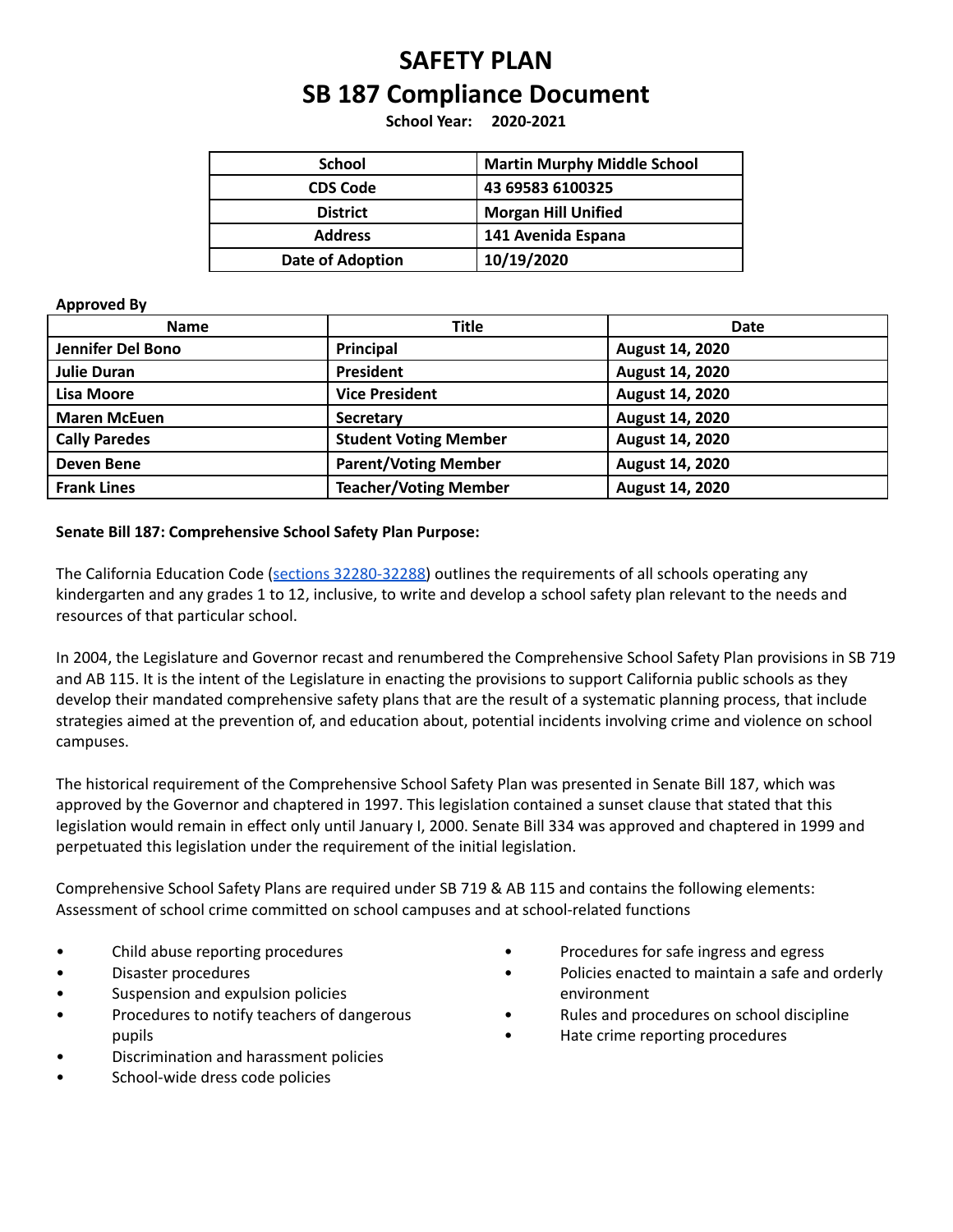# **SAFETY PLAN SB 187 Compliance Document**

**School Year: 2020-2021**

| <b>School</b>           | <b>Martin Murphy Middle School</b> |  |
|-------------------------|------------------------------------|--|
| <b>CDS Code</b>         | 43 69583 6100325                   |  |
| <b>District</b>         | <b>Morgan Hill Unified</b>         |  |
| <b>Address</b>          | 141 Avenida Espana                 |  |
| <b>Date of Adoption</b> | 10/19/2020                         |  |

#### **Approved By**

| <b>Name</b>          | <b>Title</b>                 | <b>Date</b>            |
|----------------------|------------------------------|------------------------|
| Jennifer Del Bono    | Principal                    | <b>August 14, 2020</b> |
| <b>Julie Duran</b>   | <b>President</b>             | August 14, 2020        |
| <b>Lisa Moore</b>    | <b>Vice President</b>        | August 14, 2020        |
| <b>Maren McEuen</b>  | <b>Secretary</b>             | August 14, 2020        |
| <b>Cally Paredes</b> | <b>Student Voting Member</b> | August 14, 2020        |
| <b>Deven Bene</b>    | <b>Parent/Voting Member</b>  | August 14, 2020        |
| <b>Frank Lines</b>   | <b>Teacher/Voting Member</b> | August 14, 2020        |

#### **Senate Bill 187: Comprehensive School Safety Plan Purpose:**

The California Education Code (sections [32280-32288\)](https://leginfo.legislature.ca.gov/faces/codes_displaySection.xhtml?lawCode=EDC§ionNum=32280.) outlines the requirements of all schools operating any kindergarten and any grades 1 to 12, inclusive, to write and develop a school safety plan relevant to the needs and resources of that particular school.

In 2004, the Legislature and Governor recast and renumbered the Comprehensive School Safety Plan provisions in SB 719 and AB 115. It is the intent of the Legislature in enacting the provisions to support California public schools as they develop their mandated comprehensive safety plans that are the result of a systematic planning process, that include strategies aimed at the prevention of, and education about, potential incidents involving crime and violence on school campuses.

The historical requirement of the Comprehensive School Safety Plan was presented in Senate Bill 187, which was approved by the Governor and chaptered in 1997. This legislation contained a sunset clause that stated that this legislation would remain in effect only until January I, 2000. Senate Bill 334 was approved and chaptered in 1999 and perpetuated this legislation under the requirement of the initial legislation.

Comprehensive School Safety Plans are required under SB 719 & AB 115 and contains the following elements: Assessment of school crime committed on school campuses and at school-related functions

- Child abuse reporting procedures
- Disaster procedures
- Suspension and expulsion policies
- Procedures to notify teachers of dangerous pupils
- Discrimination and harassment policies
- School-wide dress code policies
- Procedures for safe ingress and egress
- Policies enacted to maintain a safe and orderly environment
- Rules and procedures on school discipline
- Hate crime reporting procedures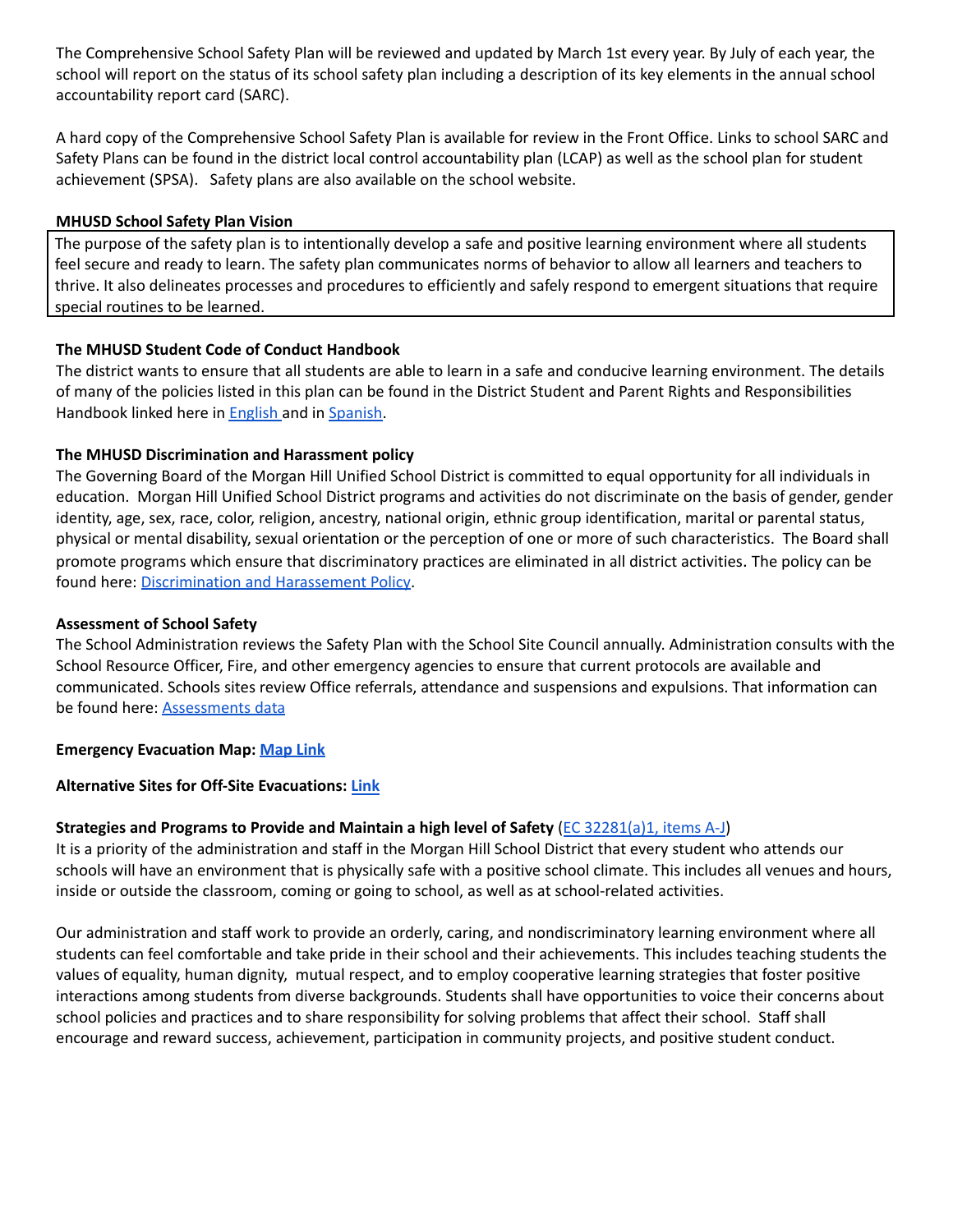The Comprehensive School Safety Plan will be reviewed and updated by March 1st every year. By July of each year, the school will report on the status of its school safety plan including a description of its key elements in the annual school accountability report card (SARC).

A hard copy of the Comprehensive School Safety Plan is available for review in the Front Office. Links to school SARC and Safety Plans can be found in the district local control accountability plan (LCAP) as well as the school plan for student achievement (SPSA). Safety plans are also available on the school website.

#### **MHUSD School Safety Plan Vision**

The purpose of the safety plan is to intentionally develop a safe and positive learning environment where all students feel secure and ready to learn. The safety plan communicates norms of behavior to allow all learners and teachers to thrive. It also delineates processes and procedures to efficiently and safely respond to emergent situations that require special routines to be learned.

# **The MHUSD Student Code of Conduct Handbook**

The district wants to ensure that all students are able to learn in a safe and conducive learning environment. The details of many of the policies listed in this plan can be found in the District Student and Parent Rights and Responsibilities Handbook linked here in [English](https://resources.finalsite.net/images/v1596333440/mhusdorg/zlzyq5xmguqyuq4ilks2/2020-21RightsandResponsibilitiesHandbook-English.pdf) and in [Spanish.](https://resources.finalsite.net/images/v1596333582/mhusdorg/tkiydiue3psbffyx2om2/202021RightsandResponsibilitiesHandbook-Spanish.pdf)

# **The MHUSD Discrimination and Harassment policy**

The Governing Board of the Morgan Hill Unified School District is committed to equal opportunity for all individuals in education. Morgan Hill Unified School District programs and activities do not discriminate on the basis of gender, gender identity, age, sex, race, color, religion, ancestry, national origin, ethnic group identification, marital or parental status, physical or mental disability, sexual orientation or the perception of one or more of such characteristics. The Board shall promote programs which ensure that discriminatory practices are eliminated in all district activities. The policy can be found here: [Discrimination](http://www.gamutonline.net/district/morganhill/DisplayPolicy/797412/0) and Harassement Policy.

#### **Assessment of School Safety**

The School Administration reviews the Safety Plan with the School Site Council annually. Administration consults with the School Resource Officer, Fire, and other emergency agencies to ensure that current protocols are available and communicated. Schools sites review Office referrals, attendance and suspensions and expulsions. That information can be found here: **[Assessments](https://docs.google.com/presentation/d/1dgjT2UphbV95YunwRekdBC5CXM8Jexe3b8fkh9GJiH0/edit?usp=sharing) data** 

#### **Emergency Evacuation Map: [Map](https://drive.google.com/a/mhusd.org/file/d/1ejtjTJ2sUE_DM1-WExcuxQee7Tn4MZmT/view?usp=sharing) Link**

#### **Alternative Sites for Off-Site Evacuations: [Link](https://docs.google.com/document/d/1rYUp-U5zAjVb01vPz4Wp9pNlbKuSdsQHaQdtIFcE33Y/edit?usp=sharing)**

# **Strategies and Programs to Provide and Maintain a high level of Safety** (EC [32281\(a\)1,](https://leginfo.legislature.ca.gov/faces/codes_displaySection.xhtml?lawCode=EDC§ionNum=32281.) items A-J)

It is a priority of the administration and staff in the Morgan Hill School District that every student who attends our schools will have an environment that is physically safe with a positive school climate. This includes all venues and hours, inside or outside the classroom, coming or going to school, as well as at school-related activities.

Our administration and staff work to provide an orderly, caring, and nondiscriminatory learning environment where all students can feel comfortable and take pride in their school and their achievements. This includes teaching students the values of equality, human dignity, mutual respect, and to employ cooperative learning strategies that foster positive interactions among students from diverse backgrounds. Students shall have opportunities to voice their concerns about school policies and practices and to share responsibility for solving problems that affect their school. Staff shall encourage and reward success, achievement, participation in community projects, and positive student conduct.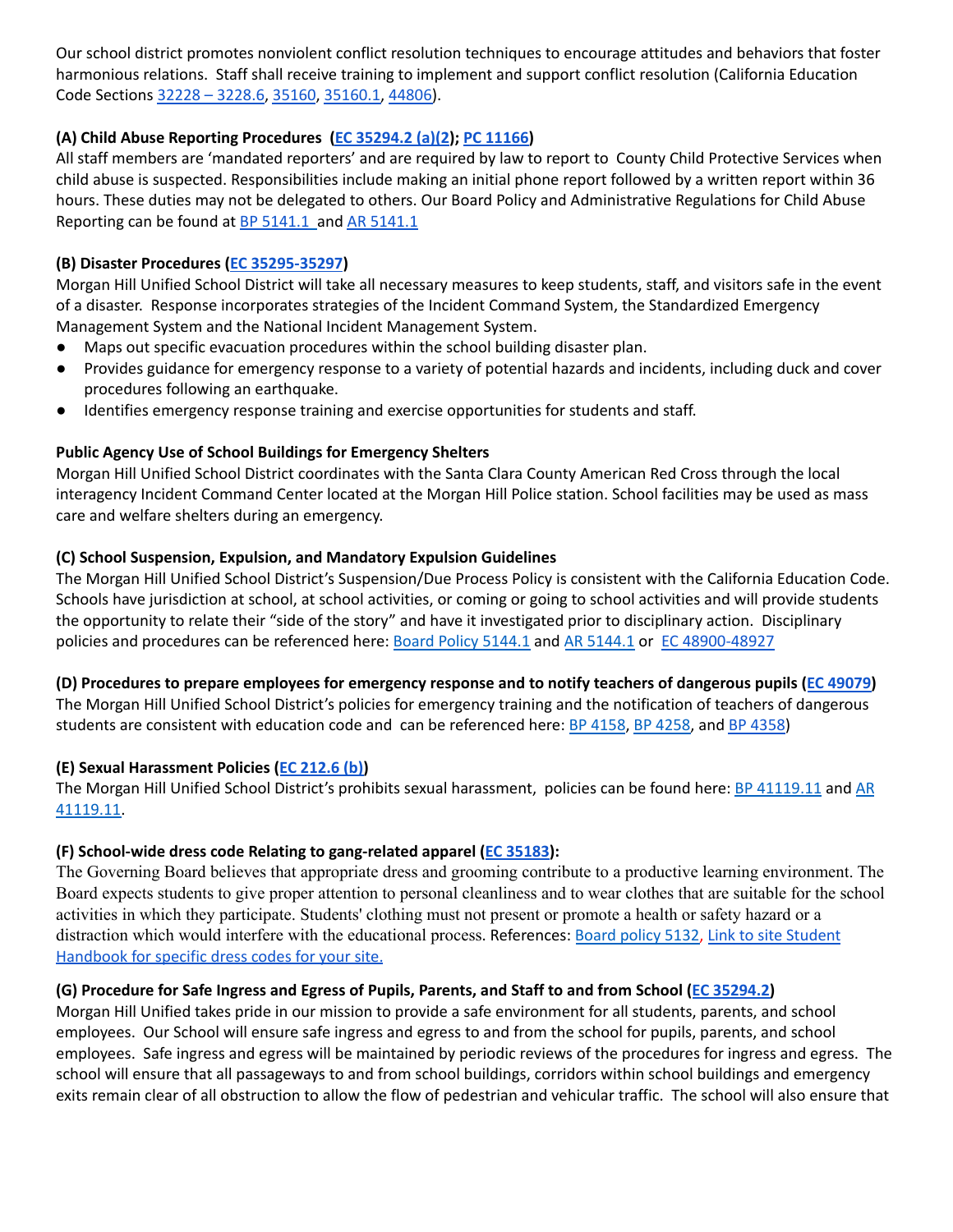Our school district promotes nonviolent conflict resolution techniques to encourage attitudes and behaviors that foster harmonious relations. Staff shall receive training to implement and support conflict resolution (California Education Code Sections 32228 – [3228.6](https://law.justia.com/codes/california/2010/edc/32228-32228.5.html), [35160](http://leginfo.legislature.ca.gov/faces/codes_displaySection.xhtml?lawCode=EDC§ionNum=35160.), [35160.1,](http://leginfo.legislature.ca.gov/faces/codes_displaySection.xhtml?lawCode=EDC§ionNum=35160.1.) [44806\)](http://leginfo.legislature.ca.gov/faces/codes_displaySection.xhtml?lawCode=EDC§ionNum=233.5.).

# **(A) Child Abuse Reporting Procedures (EC [35294.2](http://www.leginfo.ca.gov/pub/01-02/bill/asm/ab_0051-0100/ab_79_bill_20011010_chaptered.pdf) (a)(2); PC [11166\)](http://leginfo.legislature.ca.gov/faces/codes_displaySection.xhtml?lawCode=PEN§ionNum=11166)**

All staff members are 'mandated reporters' and are required by law to report to County Child Protective Services when child abuse is suspected. Responsibilities include making an initial phone report followed by a written report within 36 hours. These duties may not be delegated to others. Our Board Policy and Administrative Regulations for Child Abuse Reporting can be found at **BP [5141.1](http://www.gamutonline.net/district/morganhill/displayPolicy/797875/)** and AR 5141.1

# **(B) Disaster Procedures (EC [35295-35297](http://leginfo.legislature.ca.gov/faces/codes_displaySection.xhtml?sectionNum=35296.&lawCode=EDC))**

Morgan Hill Unified School District will take all necessary measures to keep students, staff, and visitors safe in the event of a disaster. Response incorporates strategies of the Incident Command System, the Standardized Emergency Management System and the National Incident Management System.

- Maps out specific evacuation procedures within the school building disaster plan.
- Provides guidance for emergency response to a variety of potential hazards and incidents, including duck and cover procedures following an earthquake.
- Identifies emergency response training and exercise opportunities for students and staff.

# **Public Agency Use of School Buildings for Emergency Shelters**

Morgan Hill Unified School District coordinates with the Santa Clara County American Red Cross through the local interagency Incident Command Center located at the Morgan Hill Police station. School facilities may be used as mass care and welfare shelters during an emergency.

# **(C) School Suspension, Expulsion, and Mandatory Expulsion Guidelines**

The Morgan Hill Unified School District's Suspension/Due Process Policy is consistent with the California Education Code. Schools have jurisdiction at school, at school activities, or coming or going to school activities and will provide students the opportunity to relate their "side of the story" and have it investigated prior to disciplinary action. Disciplinary policies and procedures can be referenced here: Board Policy [5144.1](http://www.gamutonline.net/district/morganhill/displayPolicy/797883/) and AR 5144.1 or EC [48900-48927](http://leginfo.legislature.ca.gov/faces/codes_displaySection.xhtml?sectionNum=48900.&lawCode=EDC)

# (D) Procedures to prepare employees for emergency response and to notify teachers of dangerous pupils (EC [49079\)](http://leginfo.legislature.ca.gov/faces/codes_displaySection.xhtml?lawCode=EDC§ionNum=49079.)

The Morgan Hill Unified School District's policies for emergency training and the notification of teachers of dangerous students are consistent with education code and can be referenced here: BP [4158](http://www.gamutonline.net/district/morganhill/displayPolicy/797754/), BP [4258,](http://www.gamutonline.net/district/morganhill/displayPolicy/797755/) and BP [4358\)](http://www.gamutonline.net/district/morganhill/displayPolicy/797756/)

# **(E) Sexual Harassment Policies (EC [212.6](http://leginfo.legislature.ca.gov/faces/codes_displaySection.xhtml?lawCode=EDC§ionNum=212.6.) (b))**

The Morgan Hill Unified School District's prohibits sexual harassment, policies can be found here: BP [41119.11](http://www.gamutonline.net/district/morganhill/DisplayPolicy/797653/) and [AR](http://www.gamutonline.net/district/morganhill/displayPolicy/797656/) [41119.11.](http://www.gamutonline.net/district/morganhill/displayPolicy/797656/)

# **(F) School-wide dress code Relating to gang-related apparel (EC [35183](https://leginfo.legislature.ca.gov/faces/codes_displaySection.xhtml?lawCode=EDC§ionNum=35183)):**

The Governing Board believes that appropriate dress and grooming contribute to a productive learning environment. The Board expects students to give proper attention to personal cleanliness and to wear clothes that are suitable for the school activities in which they participate. Students' clothing must not present or promote a health or safety hazard or a distraction which would interfere with the educational process. References: Board [policy](http://www.gamutonline.net/district/morganhill/DisplayPolicy/797863/) 5132, Link to site [Student](https://resources.finalsite.net/images/v1598986820/mhusdorg/lyawju7xisoectiqnuko/MMStudentandParentHandbook2020_20211.pdf) [Handbook](https://resources.finalsite.net/images/v1598986820/mhusdorg/lyawju7xisoectiqnuko/MMStudentandParentHandbook2020_20211.pdf) for specific dress codes for your site.

# (G) Procedure for Safe Ingress and Egress of Pupils, Parents, and Staff to and from School (EC [35294.2\)](http://www.leginfo.ca.gov/pub/01-02/bill/asm/ab_0051-0100/ab_79_bill_20011010_chaptered.pdf)

Morgan Hill Unified takes pride in our mission to provide a safe environment for all students, parents, and school employees. Our School will ensure safe ingress and egress to and from the school for pupils, parents, and school employees. Safe ingress and egress will be maintained by periodic reviews of the procedures for ingress and egress. The school will ensure that all passageways to and from school buildings, corridors within school buildings and emergency exits remain clear of all obstruction to allow the flow of pedestrian and vehicular traffic. The school will also ensure that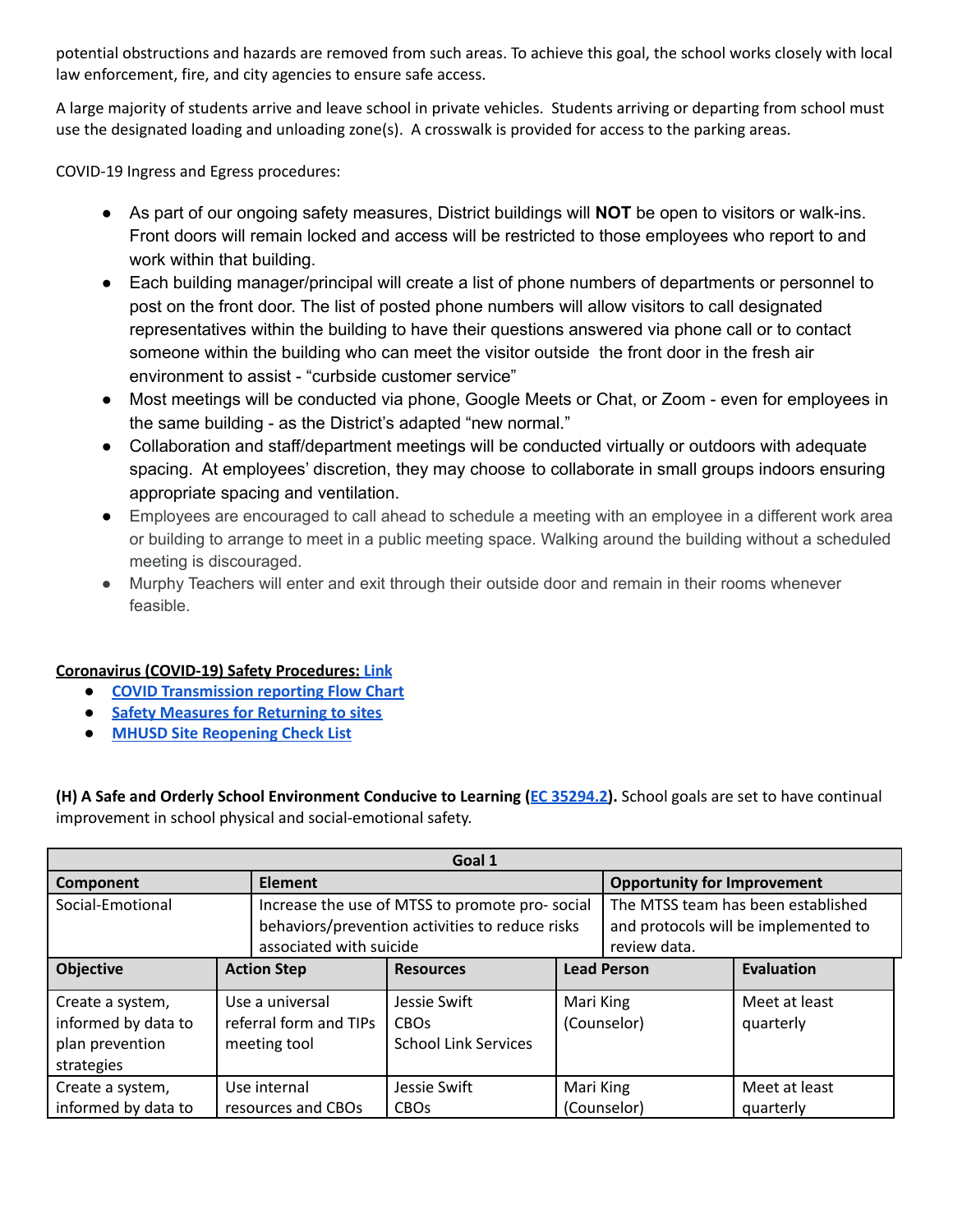potential obstructions and hazards are removed from such areas. To achieve this goal, the school works closely with local law enforcement, fire, and city agencies to ensure safe access.

A large majority of students arrive and leave school in private vehicles. Students arriving or departing from school must use the designated loading and unloading zone(s). A crosswalk is provided for access to the parking areas.

COVID-19 Ingress and Egress procedures:

- As part of our ongoing safety measures, District buildings will **NOT** be open to visitors or walk-ins. Front doors will remain locked and access will be restricted to those employees who report to and work within that building.
- Each building manager/principal will create a list of phone numbers of departments or personnel to post on the front door. The list of posted phone numbers will allow visitors to call designated representatives within the building to have their questions answered via phone call or to contact someone within the building who can meet the visitor outside the front door in the fresh air environment to assist - "curbside customer service"
- Most meetings will be conducted via phone, Google Meets or Chat, or Zoom even for employees in the same building - as the District's adapted "new normal."
- Collaboration and staff/department meetings will be conducted virtually or outdoors with adequate spacing. At employees' discretion, they may choose to collaborate in small groups indoors ensuring appropriate spacing and ventilation.
- Employees are encouraged to call ahead to schedule a meeting with an employee in a different work area or building to arrange to meet in a public meeting space. Walking around the building without a scheduled meeting is discouraged.
- Murphy Teachers will enter and exit through their outside door and remain in their rooms whenever feasible.

#### **Coronavirus (COVID-19) Safety Procedures: [Link](https://docs.google.com/document/d/1GhyPjuiWJTBGwItOCmJX3knrQWaIEV0kfVAPsRgpssE/edit?usp=sharing)**

- **● COVID [Transmission](https://docs.google.com/document/d/1NASArPnBS6mr0ZnsES9xGWn5wy3r29uLGPi8sRnv9Us/edit?usp=sharing) reporting Flow Chart**
- **● Safety Measures for [Returning](https://www.mhusd.org/covid-19/safety-measures-for-reopening-of-district-buildings) to sites**
- **● MHUSD Site [Reopening](https://docs.google.com/document/d/1oeM5Vz7kpPht_jy68wAuo0R_tK6gHC7Xp4H-H3-q-oo/edit?usp=sharing) Check List**

**(H) A Safe and Orderly School Environment Conducive to Learning (EC [35294.2\)](http://www.leginfo.ca.gov/pub/01-02/bill/asm/ab_0051-0100/ab_79_bill_20011010_chaptered.pdf).** School goals are set to have continual improvement in school physical and social-emotional safety.

| Goal 1              |  |                         |                                                 |             |                                    |                                      |
|---------------------|--|-------------------------|-------------------------------------------------|-------------|------------------------------------|--------------------------------------|
| Component           |  | <b>Element</b>          |                                                 |             | <b>Opportunity for Improvement</b> |                                      |
| Social-Emotional    |  |                         | Increase the use of MTSS to promote pro-social  |             |                                    | The MTSS team has been established   |
|                     |  |                         | behaviors/prevention activities to reduce risks |             |                                    | and protocols will be implemented to |
|                     |  | associated with suicide |                                                 |             | review data.                       |                                      |
| <b>Objective</b>    |  | <b>Action Step</b>      | <b>Resources</b>                                |             | <b>Lead Person</b>                 | <b>Evaluation</b>                    |
| Create a system,    |  | Use a universal         | Jessie Swift                                    | Mari King   |                                    | Meet at least                        |
| informed by data to |  | referral form and TIPs  | <b>CBO<sub>S</sub></b>                          | (Counselor) |                                    | quarterly                            |
| plan prevention     |  | meeting tool            | <b>School Link Services</b>                     |             |                                    |                                      |
| strategies          |  |                         |                                                 |             |                                    |                                      |
| Create a system,    |  | Use internal            | Jessie Swift                                    | Mari King   |                                    | Meet at least                        |
| informed by data to |  | resources and CBOs      | <b>CBO<sub>s</sub></b>                          |             | (Counselor)                        | quarterly                            |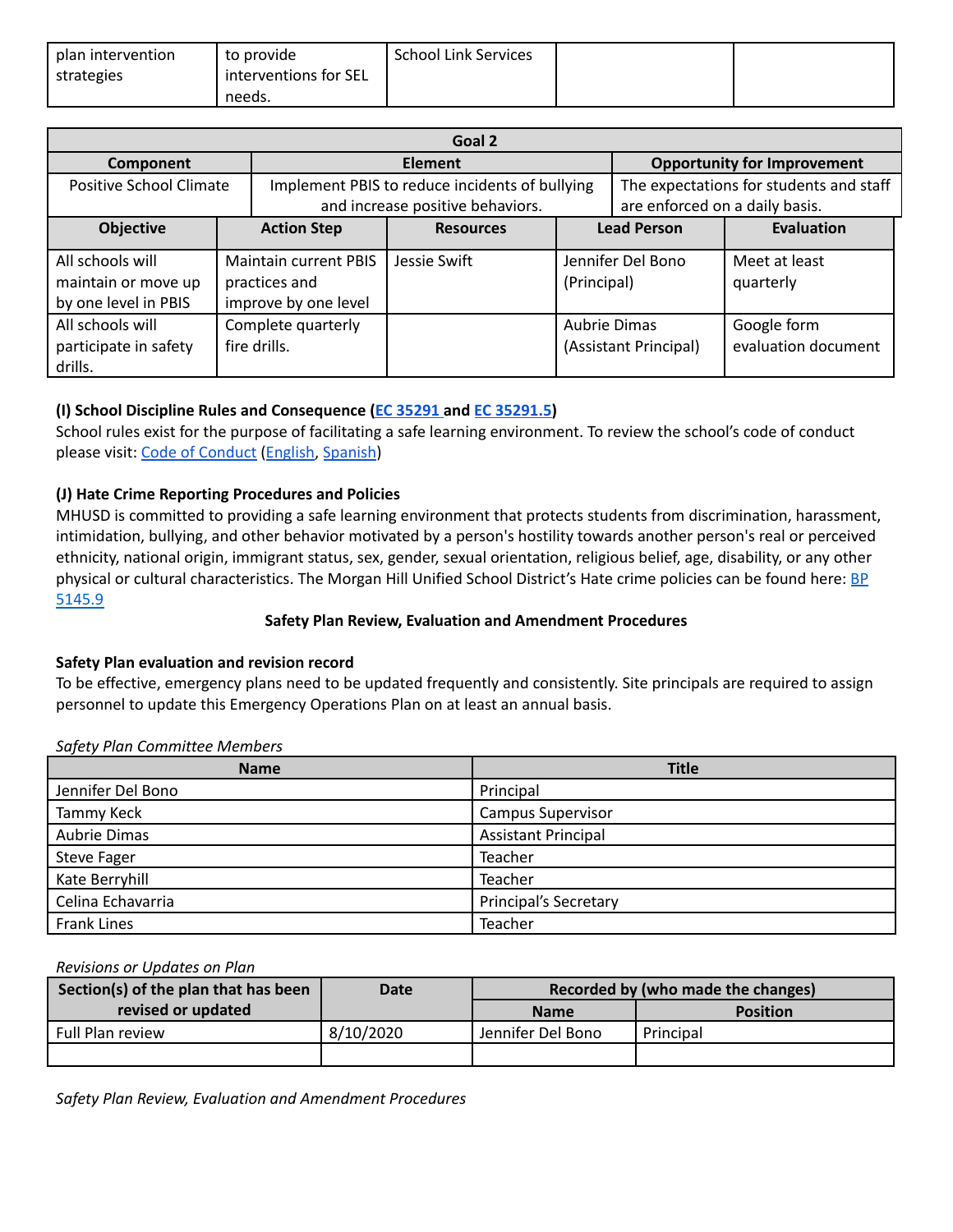| plan intervention | to provide            | <b>School Link Services</b> |  |
|-------------------|-----------------------|-----------------------------|--|
| strategies        | interventions for SEL |                             |  |
|                   | needs.                |                             |  |

| Goal 2                                                          |  |                                                                       |                                                |                    |                                |                                         |
|-----------------------------------------------------------------|--|-----------------------------------------------------------------------|------------------------------------------------|--------------------|--------------------------------|-----------------------------------------|
| Component                                                       |  |                                                                       | Element                                        |                    |                                | <b>Opportunity for Improvement</b>      |
| Positive School Climate                                         |  |                                                                       | Implement PBIS to reduce incidents of bullying |                    |                                | The expectations for students and staff |
|                                                                 |  |                                                                       | and increase positive behaviors.               |                    | are enforced on a daily basis. |                                         |
| <b>Objective</b>                                                |  | <b>Action Step</b>                                                    | <b>Resources</b>                               | <b>Lead Person</b> |                                | <b>Evaluation</b>                       |
| All schools will<br>maintain or move up<br>by one level in PBIS |  | <b>Maintain current PBIS</b><br>practices and<br>improve by one level | Jessie Swift                                   | (Principal)        | Jennifer Del Bono              | Meet at least<br>quarterly              |
| All schools will<br>participate in safety<br>drills.            |  | Complete quarterly<br>fire drills.                                    |                                                | Aubrie Dimas       | (Assistant Principal)          | Google form<br>evaluation document      |

# **(I) School Discipline Rules and Consequence (EC [35291](http://leginfo.legislature.ca.gov/faces/codes_displaySection.xhtml?lawCode=EDC§ionNum=35291.) and EC [35291.5\)](http://leginfo.legislature.ca.gov/faces/codes_displaySection.xhtml?lawCode=EDC§ionNum=35291.5.)**

School rules exist for the purpose of facilitating a safe learning environment. To review the school's code of conduct please visit: Code of [Conduct](https://resources.finalsite.net/images/v1598986820/mhusdorg/lyawju7xisoectiqnuko/MMStudentandParentHandbook2020_20211.pdf) ([English](http://martinmurphy.mhusd.org/wp-content/uploads/2018/08/Student-and-Parent-Handbook_2018-2019.pdf), [Spanish\)](http://martinmurphy.mhusd.org/wp-content/uploads/2018/08/Spanish-Student-and-Parent-Handbook_2018-2019.pdf)

# **(J) Hate Crime Reporting Procedures and Policies**

MHUSD is committed to providing a safe learning environment that protects students from discrimination, harassment, intimidation, bullying, and other behavior motivated by a person's hostility towards another person's real or perceived ethnicity, national origin, immigrant status, sex, gender, sexual orientation, religious belief, age, disability, or any other physical or cultural characteristics. The Morgan Hill Unified School District's Hate crime policies can be found here: **[BP](http://www.gamutonline.net/district/morganhill/displayPolicy/797898/)** [5145.9](http://www.gamutonline.net/district/morganhill/displayPolicy/797898/)

#### **Safety Plan Review, Evaluation and Amendment Procedures**

#### **Safety Plan evaluation and revision record**

To be effective, emergency plans need to be updated frequently and consistently. Site principals are required to assign personnel to update this Emergency Operations Plan on at least an annual basis.

# **Name Title** Jennifer Del Bono Principal Tammy Keck **Campus Supervisor Campus Supervisor** Aubrie Dimas **Aubrie 2** and Aubrie Dimas **Aubrie 2** and Assistant Principal Steve Fager National Steve Fager National According to the United Steve Intervention of Teacher Kate Berryhill **Teacher Teacher Teacher** Celina Echavarria **Principal's Secretary** Principal's Secretary Frank Lines **Teacher** Teacher

*Safety Plan Committee Members*

# *Revisions or Updates on Plan*

| Section(s) of the plan that has been | Date      | Recorded by (who made the changes) |                 |  |
|--------------------------------------|-----------|------------------------------------|-----------------|--|
| revised or updated                   |           | <b>Name</b>                        | <b>Position</b> |  |
| Full Plan review                     | 8/10/2020 | Jennifer Del Bono                  | Principal       |  |
|                                      |           |                                    |                 |  |

*Safety Plan Review, Evaluation and Amendment Procedures*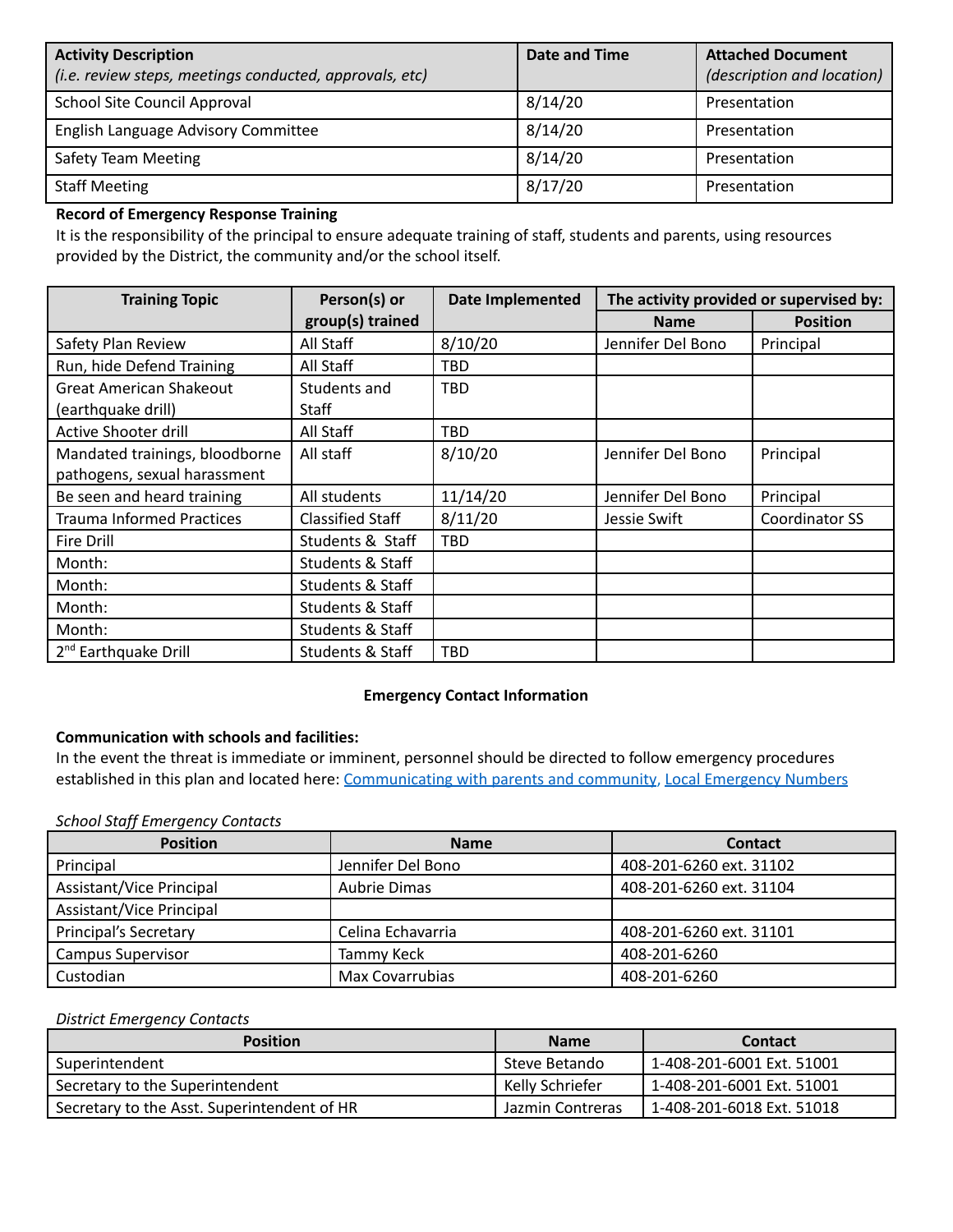| <b>Activity Description</b><br>(i.e. review steps, meetings conducted, approvals, etc) | Date and Time | <b>Attached Document</b><br>(description and location) |
|----------------------------------------------------------------------------------------|---------------|--------------------------------------------------------|
| School Site Council Approval                                                           | 8/14/20       | Presentation                                           |
| English Language Advisory Committee                                                    | 8/14/20       | Presentation                                           |
| Safety Team Meeting                                                                    | 8/14/20       | Presentation                                           |
| <b>Staff Meeting</b>                                                                   | 8/17/20       | Presentation                                           |

# **Record of Emergency Response Training**

It is the responsibility of the principal to ensure adequate training of staff, students and parents, using resources provided by the District, the community and/or the school itself.

| <b>Training Topic</b>            | Person(s) or                | <b>Date Implemented</b> | The activity provided or supervised by: |                 |
|----------------------------------|-----------------------------|-------------------------|-----------------------------------------|-----------------|
|                                  | group(s) trained            |                         | <b>Name</b>                             | <b>Position</b> |
| Safety Plan Review               | All Staff                   | 8/10/20                 | Jennifer Del Bono                       | Principal       |
| Run, hide Defend Training        | All Staff                   | <b>TBD</b>              |                                         |                 |
| <b>Great American Shakeout</b>   | Students and                | <b>TBD</b>              |                                         |                 |
| (earthquake drill)               | Staff                       |                         |                                         |                 |
| Active Shooter drill             | All Staff                   | TBD                     |                                         |                 |
| Mandated trainings, bloodborne   | All staff                   | 8/10/20                 | Jennifer Del Bono                       | Principal       |
| pathogens, sexual harassment     |                             |                         |                                         |                 |
| Be seen and heard training       | All students                | 11/14/20                | Jennifer Del Bono                       | Principal       |
| <b>Trauma Informed Practices</b> | <b>Classified Staff</b>     | 8/11/20                 | Jessie Swift                            | Coordinator SS  |
| Fire Drill                       | Students & Staff            | <b>TBD</b>              |                                         |                 |
| Month:                           | Students & Staff            |                         |                                         |                 |
| Month:                           | Students & Staff            |                         |                                         |                 |
| Month:                           | Students & Staff            |                         |                                         |                 |
| Month:                           | Students & Staff            |                         |                                         |                 |
| 2 <sup>nd</sup> Earthquake Drill | <b>Students &amp; Staff</b> | <b>TBD</b>              |                                         |                 |

#### **Emergency Contact Information**

# **Communication with schools and facilities:**

In the event the threat is immediate or imminent, personnel should be directed to follow emergency procedures established in this plan and located here: [Communicating](https://drive.google.com/file/d/1E0JOQ_OPxTbV6sqrpdciQn4oMCHsrOXU/view?usp=sharing) with parents and community, Local [Emergency](https://drive.google.com/file/d/1oj0CRLVVUB341qhfIP_VnXcXZ50WGLhE/view?usp=sharing) Numbers

*School Staff Emergency Contacts*

| <b>Position</b>          | <b>Name</b>         | <b>Contact</b>          |
|--------------------------|---------------------|-------------------------|
| Principal                | Jennifer Del Bono   | 408-201-6260 ext. 31102 |
| Assistant/Vice Principal | <b>Aubrie Dimas</b> | 408-201-6260 ext. 31104 |
| Assistant/Vice Principal |                     |                         |
| Principal's Secretary    | Celina Echavarria   | 408-201-6260 ext. 31101 |
| Campus Supervisor        | Tammy Keck          | 408-201-6260            |
| Custodian                | Max Covarrubias     | 408-201-6260            |

#### *District Emergency Contacts*

| <b>Position</b>                             | <b>Name</b>      | <b>Contact</b>            |
|---------------------------------------------|------------------|---------------------------|
| Superintendent                              | Steve Betando    | 1-408-201-6001 Ext. 51001 |
| Secretary to the Superintendent             | Kelly Schriefer  | 1-408-201-6001 Ext. 51001 |
| Secretary to the Asst. Superintendent of HR | Jazmin Contreras | 1-408-201-6018 Ext. 51018 |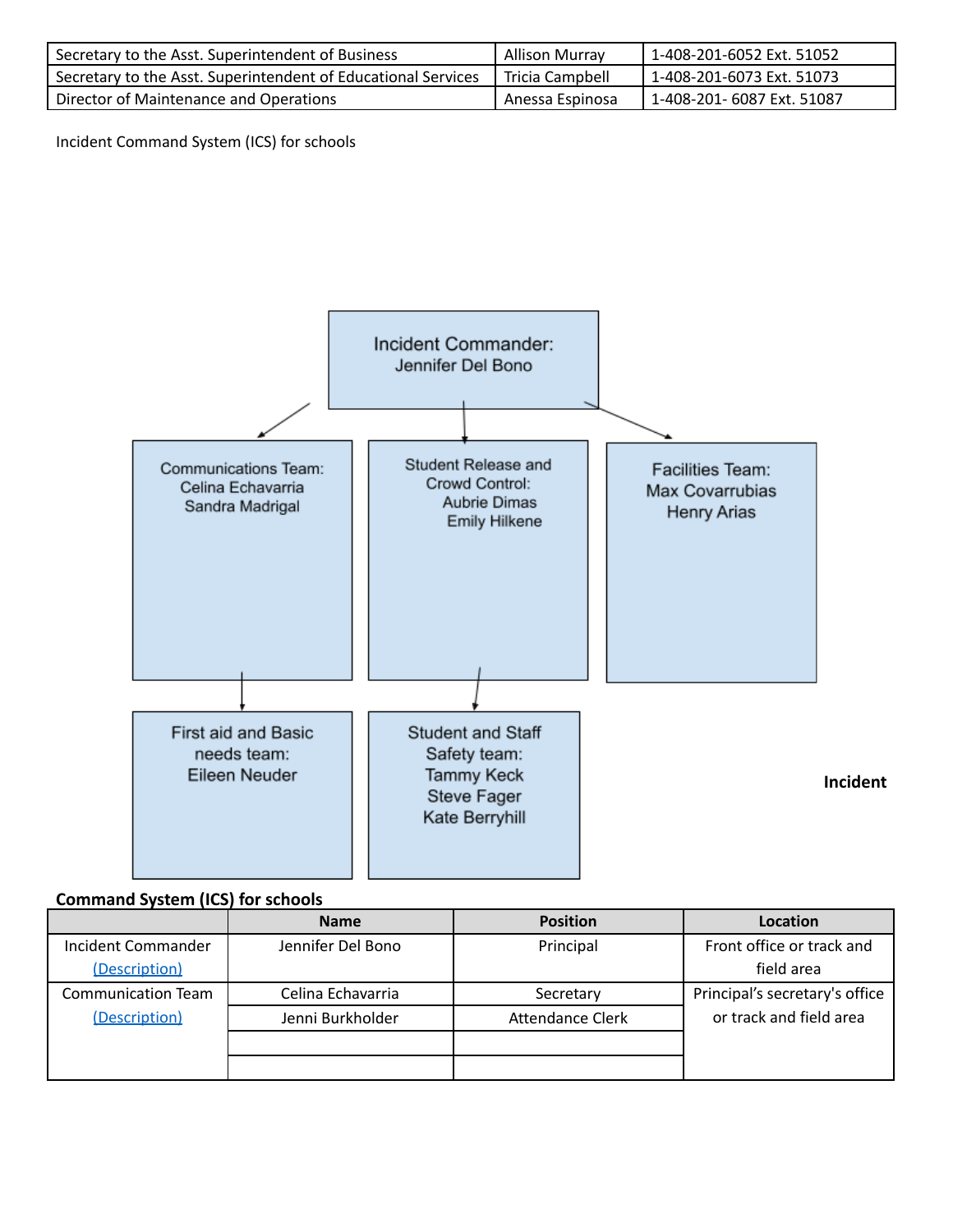| Secretary to the Asst. Superintendent of Business             | <b>Allison Murray</b> | 1-408-201-6052 Ext. 51052  |
|---------------------------------------------------------------|-----------------------|----------------------------|
| Secretary to the Asst. Superintendent of Educational Services | Tricia Campbell       | 1-408-201-6073 Ext. 51073  |
| Director of Maintenance and Operations                        | Anessa Espinosa       | 1-408-201- 6087 Ext. 51087 |

Incident Command System (ICS) for schools



# **Command System (ICS) for schools**

|                           | <b>Name</b>       | <b>Position</b>         | Location                       |
|---------------------------|-------------------|-------------------------|--------------------------------|
| <b>Incident Commander</b> | Jennifer Del Bono | Principal               | Front office or track and      |
| (Description)             |                   |                         | field area                     |
| <b>Communication Team</b> | Celina Echavarria | Secretary               | Principal's secretary's office |
| (Description)             | Jenni Burkholder  | <b>Attendance Clerk</b> | or track and field area        |
|                           |                   |                         |                                |
|                           |                   |                         |                                |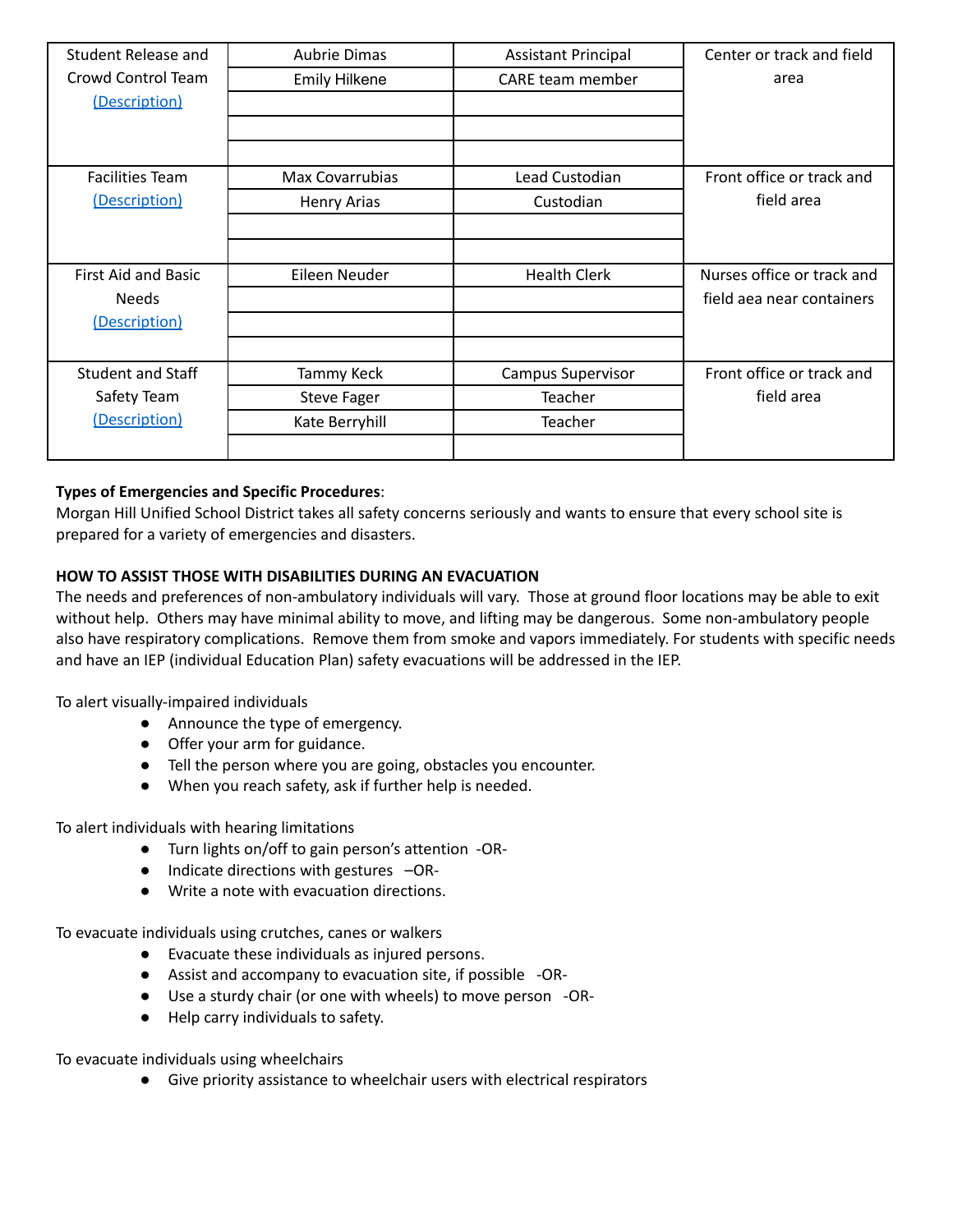| Student Release and      | Aubrie Dimas           | <b>Assistant Principal</b> | Center or track and field  |
|--------------------------|------------------------|----------------------------|----------------------------|
| Crowd Control Team       | <b>Emily Hilkene</b>   | <b>CARE team member</b>    | area                       |
| (Description)            |                        |                            |                            |
|                          |                        |                            |                            |
|                          |                        |                            |                            |
| <b>Facilities Team</b>   | <b>Max Covarrubias</b> | Lead Custodian             | Front office or track and  |
| (Description)            | <b>Henry Arias</b>     | Custodian                  | field area                 |
|                          |                        |                            |                            |
|                          |                        |                            |                            |
| First Aid and Basic      | Eileen Neuder          | <b>Health Clerk</b>        | Nurses office or track and |
| <b>Needs</b>             |                        |                            | field aea near containers  |
| (Description)            |                        |                            |                            |
|                          |                        |                            |                            |
| <b>Student and Staff</b> | Tammy Keck             | Campus Supervisor          | Front office or track and  |
| Safety Team              | <b>Steve Fager</b>     | Teacher                    | field area                 |
| (Description)            | Kate Berryhill         | Teacher                    |                            |
|                          |                        |                            |                            |

# **Types of Emergencies and Specific Procedures**:

Morgan Hill Unified School District takes all safety concerns seriously and wants to ensure that every school site is prepared for a variety of emergencies and disasters.

# **HOW TO ASSIST THOSE WITH DISABILITIES DURING AN EVACUATION**

The needs and preferences of non-ambulatory individuals will vary. Those at ground floor locations may be able to exit without help. Others may have minimal ability to move, and lifting may be dangerous. Some non-ambulatory people also have respiratory complications. Remove them from smoke and vapors immediately. For students with specific needs and have an IEP (individual Education Plan) safety evacuations will be addressed in the IEP.

To alert visually-impaired individuals

- Announce the type of emergency.
- Offer your arm for guidance.
- Tell the person where you are going, obstacles you encounter.
- When you reach safety, ask if further help is needed.

To alert individuals with hearing limitations

- Turn lights on/off to gain person's attention -OR-
- Indicate directions with gestures –OR-
- Write a note with evacuation directions.

To evacuate individuals using crutches, canes or walkers

- Evacuate these individuals as injured persons.
- Assist and accompany to evacuation site, if possible -OR-
- Use a sturdy chair (or one with wheels) to move person -OR-
- Help carry individuals to safety.

To evacuate individuals using wheelchairs

● Give priority assistance to wheelchair users with electrical respirators